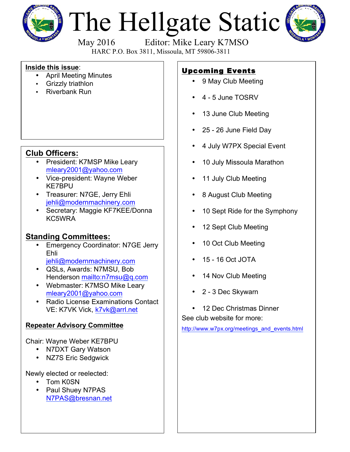

# The Hellgate Static



May 2016 Editor: Mike Leary K7MSO

HARC P.O. Box 3811, Missoula, MT 59806-3811

#### **Inside this issue**:

- April Meeting Minutes
- Grizzly triathlon
- Riverbank Run

## **Club Officers:**

- President: K7MSP Mike Leary mleary2001@yahoo.com
- Vice-president: Wayne Weber KE7BPU
- Treasurer: N7GE, Jerry Ehli jehli@modernmachinery.com
- Secretary: Maggie KF7KEE/Donna KC5WRA

### **Standing Committees:**

- Emergency Coordinator: N7GE Jerry Ehli jehli@modernmachinery.com
- QSLs, Awards: N7MSU, Bob Henderson mailto:n7msu@q.com
- Webmaster: K7MSO Mike Leary mleary2001@yahoo.com
- Radio License Examinations Contact VE: K7VK Vick, k7vk@arrl.net

#### **Repeater Advisory Committee**

Chair: Wayne Weber KE7BPU

- N7DXT Gary Watson
- NZ7S Eric Sedgwick

Newly elected or reelected:

- Tom K0SN
- Paul Shuey N7PAS N7PAS@bresnan.net

# Upcoming Events

- 9 May Club Meeting
- 4 5 June TOSRV
- 13 June Club Meeting
- 25 26 June Field Day
- 4 July W7PX Special Event
- 10 July Missoula Marathon
- 11 July Club Meeting
- 8 August Club Meeting
- 10 Sept Ride for the Symphony
- 12 Sept Club Meeting
- 10 Oct Club Meeting
- 15 16 Oct JOTA
- 14 Nov Club Meeting
- 2 3 Dec Skywarn
- 12 Dec Christmas Dinner

See club website for more:

http://www.w7px.org/meetings\_and\_events.html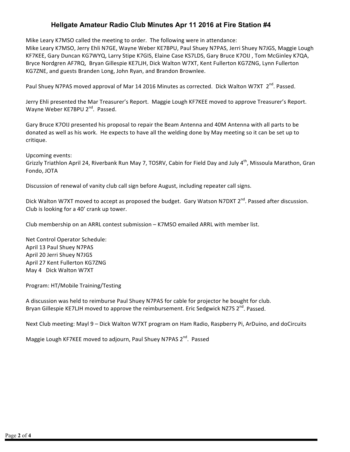#### **Hellgate Amateur Radio Club Minutes Apr 11 2016 at Fire Station #4**

Mike Leary K7MSO called the meeting to order. The following were in attendance:

Mike Leary K7MSO, Jerry Ehli N7GE, Wayne Weber KE7BPU, Paul Shuey N7PAS, Jerri Shuey N7JGS, Maggie Lough KF7KEE, Gary Duncan KG7WYQ, Larry Stipe K7GIS, Elaine Case KS7LDS, Gary Bruce K7OIJ, Tom McGinley K7QA, Bryce Nordgren AF7RQ, Bryan Gillespie KE7LJH, Dick Walton W7XT, Kent Fullerton KG7ZNG, Lynn Fullerton KG7ZNE, and guests Branden Long, John Ryan, and Brandon Brownlee.

Paul Shuey N7PAS moved approval of Mar 14 2016 Minutes as corrected. Dick Walton W7XT  $2^{nd}$ . Passed.

Jerry Ehli presented the Mar Treasurer's Report. Maggie Lough KF7KEE moved to approve Treasurer's Report. Wayne Weber KE7BPU 2<sup>nd</sup>. Passed.

Gary Bruce K7OIJ presented his proposal to repair the Beam Antenna and 40M Antenna with all parts to be donated as well as his work. He expects to have all the welding done by May meeting so it can be set up to critique.

Upcoming events: Grizzly Triathlon April 24, Riverbank Run May 7, TOSRV, Cabin for Field Day and July 4<sup>th</sup>, Missoula Marathon, Gran Fondo, JOTA

Discussion of renewal of vanity club call sign before August, including repeater call signs.

Dick Walton W7XT moved to accept as proposed the budget. Gary Watson N7DXT  $2^{nd}$ . Passed after discussion. Club is looking for a 40' crank up tower.

Club membership on an ARRL contest submission - K7MSO emailed ARRL with member list.

Net Control Operator Schedule: April 13 Paul Shuey N7PAS April 20 Jerri Shuey N7JGS April 27 Kent Fullerton KG7ZNG May 4 Dick Walton W7XT

Program: HT/Mobile Training/Testing

A discussion was held to reimburse Paul Shuey N7PAS for cable for projector he bought for club. Bryan Gillespie KE7LJH moved to approve the reimbursement. Eric Sedgwick NZ7S 2<sup>nd</sup>. Passed.

Next Club meeting: Mayl 9 – Dick Walton W7XT program on Ham Radio, Raspberry Pi, ArDuino, and doCircuits

Maggie Lough KF7KEE moved to adjourn, Paul Shuey N7PAS 2<sup>nd</sup>. Passed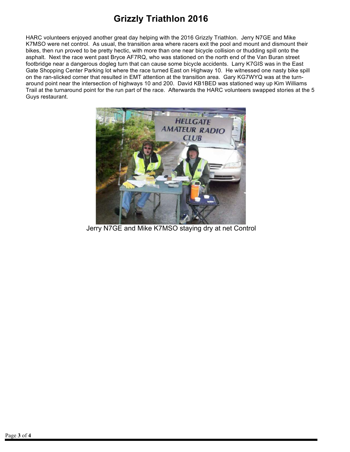## **Grizzly Triathlon 2016**

HARC volunteers enjoyed another great day helping with the 2016 Grizzly Triathlon. Jerry N7GE and Mike K7MSO were net control. As usual, the transition area where racers exit the pool and mount and dismount their bikes, then run proved to be pretty hectic, with more than one near bicycle collision or thudding spill onto the asphalt. Next the race went past Bryce AF7RQ, who was stationed on the north end of the Van Buran street footbridge near a dangerous dogleg turn that can cause some bicycle accidents. Larry K7GIS was in the East Gate Shopping Center Parking lot where the race turned East on Highway 10. He witnessed one nasty bike spill on the ran-slicked corner that resulted in EMT attention at the transition area. Gary KG7WYQ was at the turnaround point near the intersection of highways 10 and 200. David KB1BED was stationed way up Kim Williams Trail at the turnaround point for the run part of the race. Afterwards the HARC volunteers swapped stories at the 5 Guys restaurant.



Jerry N7GE and Mike K7MSO staying dry at net Control